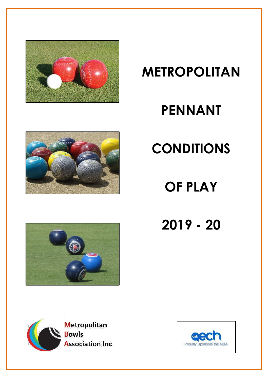

# **METROPOLITAN**

# **PENNANT**



# **CONDITIONS**

**OF PLAY**

**2019 - 20**





**Metropolitan Bowls Association Inc.** 

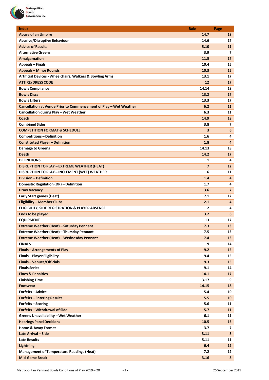

| <b>Index</b>                                                      | <b>Rule</b>    | Page            |
|-------------------------------------------------------------------|----------------|-----------------|
| <b>Abuse of an Umpire</b>                                         | 14.7           | 18              |
| <b>Abusive/Disruptive Behaviour</b>                               | 14.6           | 17              |
| <b>Advice of Results</b>                                          | 5.10           | 11              |
| <b>Alternative Greens</b>                                         | 3.9            | 7               |
| <b>Amalgamation</b>                                               | 11.5           | 17              |
| <b>Appeals - Finals</b>                                           | 10.4           | 15              |
| <b>Appeals - Minor Rounds</b>                                     | 10.3           | 15              |
| Artificial Devices - Wheelchairs, Walkers & Bowling Arms          | 13.1           | 17              |
| <b>ATTIRE/DRESS CODE</b>                                          | 12             | 17              |
| <b>Bowls Compliance</b>                                           | 14.14          | 18              |
| <b>Bowls Discs</b>                                                | 13.2           | 17              |
| <b>Bowls Lifters</b>                                              | 13.3           | 17              |
| Cancellation at Venue Prior to Commencement of Play - Wet Weather | 6.2            | 11              |
| Cancellation during Play - Wet Weather                            | 6.3            | 11              |
| Coach                                                             | 14.9           | 18              |
| <b>Combined Sides</b>                                             | 3.8            | $\overline{ }$  |
| <b>COMPETITION FORMAT &amp; SCHEDULE</b>                          | 3              | $6\phantom{1}$  |
| <b>Competitions-Definition</b>                                    | 1.6            | 4               |
| <b>Constituted Player - Definition</b>                            | 1.8            | 4               |
| <b>Damage to Greens</b>                                           | 14.13          | 18              |
| <b>Death</b>                                                      | 14.2           | 17              |
| <b>DEFINITIONS</b>                                                | 1              | 4               |
| <b>DISRUPTION TO PLAY - EXTREME WEATHER (HEAT)</b>                | $\overline{7}$ | 12              |
| DISRUPTION TO PLAY - INCLEMENT (WET) WEATHER                      | 6              | 11              |
| <b>Division - Definition</b>                                      | 1.4            | 4               |
| Domestic Regulation (DR) - Definition                             | 1.7            | 4               |
| <b>Draw Vacancy</b>                                               | 3.6            | $\overline{7}$  |
| <b>Early Start games (Heat)</b>                                   | 7.1            | 12              |
| <b>Eligibility - Member Clubs</b>                                 | 2.1            | 4               |
| <b>ELIGIBILITY, SIDE REGISTRATION &amp; PLAYER ABSENCE</b>        | 2              | 4               |
| <b>Ends to be played</b>                                          | 3.2            | $6\phantom{1}6$ |
| <b>EQUIPMENT</b>                                                  | 13             | 17              |
| Extreme Weather (Heat) - Saturday Pennant                         | 7.3            | 13 <sup>°</sup> |
| Extreme Weather (Heat) - Thursday Pennant                         | 7.5            | 13              |
|                                                                   | 7.4            | 13 <sup>2</sup> |
| Extreme Weather (Heat) - Wednesday Pennant<br><b>FINALS</b>       | 9              | 14              |
| <b>Finals - Arrangements of Play</b>                              | 9.2            |                 |
| <b>Finals-Player Eligibility</b>                                  | 9.4            | 15              |
|                                                                   | 9.3            | 15              |
| <b>Finals-Venues/Officials</b><br><b>Finals Series</b>            |                | 15 <sub>1</sub> |
| <b>Fines &amp; Penalties</b>                                      | 9.1            | 14              |
|                                                                   | 14.1           | 17              |
| <b>Finishing Time</b>                                             | 3.17           | 9               |
| <b>Footwear</b>                                                   | 14.15          | 18              |
| <b>Forfeits - Advice</b>                                          | 5.4            | 10              |
| <b>Forfeits - Entering Results</b>                                | 5.5            | 10              |
| Forfeits - Scoring                                                | 5.6            | 11              |
| Forfeits - Withdrawal of Side                                     | 5.7            | 11              |
| <b>Greens Unavailability - Wet Weather</b>                        | 6.1            | 11              |
| <b>Hearings Panel Decisions</b>                                   | 10.5           | 16              |
| <b>Home &amp; Away Format</b>                                     | 3.7            | $\overline{7}$  |
| Late Arrival - Side                                               | 3.11           | 8               |
| Late Results                                                      | 5.11           | 11              |
| <b>Lightning</b>                                                  | 6.4            | 12 <sup>2</sup> |
| <b>Management of Temperature Readings (Heat)</b>                  | 7.2            | 12              |
| <b>Mid-Game Break</b>                                             | 3.16           | 8               |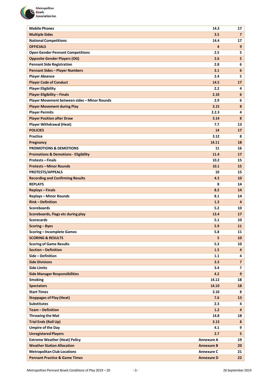

| <b>Mobile Phones</b>                            | 14.3              | 17                      |
|-------------------------------------------------|-------------------|-------------------------|
| <b>Multiple Sides</b>                           | 3.5               | $\overline{7}$          |
| <b>National Competitions</b>                    | 14.4              | 17                      |
| <b>OFFICIALS</b>                                | 4                 | 9                       |
| <b>Open Gender Pennant Competitions</b>         | 2.5               | 5                       |
| <b>Opposite Gender Players (OG)</b>             | 2.6               | 5                       |
| <b>Pennant Side Registration</b>                | 2.8               | 6                       |
| <b>Pennant Sides - Player Numbers</b>           | 3.1               | 6                       |
| <b>Player Absence</b>                           | 2.4               | 5                       |
| <b>Player Code of Conduct</b>                   | 14.5              | 17                      |
| <b>Player Eligibility</b>                       | 2.2               | 4                       |
| <b>Player Eligibility - Finals</b>              | 2.10              | 6                       |
| Player Movement between sides - Minor Rounds    | 2.9               | 6                       |
| <b>Player Movement during Play</b>              | 3.15              | 8                       |
| <b>Player Permits</b>                           | 2.2.3             | 4                       |
| <b>Player Position after Draw</b>               | 3.14              | 8                       |
| <b>Player Withdrawal (Heat)</b>                 | 7.7               | 13                      |
| <b>POLICIES</b>                                 | 14                | 17                      |
| Practice                                        | 3.12              | 8                       |
| Pregnancy                                       | 14.11             | 18                      |
| <b>PROMOTIONS &amp; DEMOTIONS</b>               | 11                | 16                      |
| <b>Promotions &amp; Demotions - Eligibility</b> | 11.4              | 17                      |
| <b>Protests - Finals</b>                        | 10.2              | 15                      |
| <b>Protests - Minor Rounds</b>                  | 10.1              | 15                      |
| <b>PROTESTS/APPEALS</b>                         | 10                | 15                      |
| <b>Recording and Confirming Results</b>         | 4.3               | 10                      |
| <b>REPLAYS</b>                                  | 8                 | 14                      |
| <b>Replays - Finals</b>                         | 8.2               | 14                      |
| <b>Replays - Minor Rounds</b>                   | 8.1               | 14                      |
| <b>Rink-Definition</b>                          | 1.3               | 4                       |
| <b>Scoreboards</b>                              | 5.2               | 10                      |
| Scoreboards, Flags etc during play              | 13.4              | 17                      |
| <b>Scorecards</b>                               | 5.1               | 10                      |
| Scoring - Byes                                  | 5.9               | 11                      |
| <b>Scoring - Incomplete Games</b>               | 5.8               | 11                      |
| <b>SCORING &amp; RESULTS</b>                    | 5                 | 10                      |
| <b>Scoring of Game Results</b>                  | 5.3               | 10                      |
| <b>Section - Definition</b>                     | 1.5               | 4                       |
| Side - Definition                               | 1.1               | 4                       |
| <b>Side Divisions</b>                           | 3.3               | $\overline{7}$          |
| <b>Side Limits</b>                              | 3.4               | $\overline{\mathbf{z}}$ |
| <b>Side Manager Responsibilities</b>            | 4.2               | $\overline{9}$          |
| <b>Smoking</b>                                  | 14.12             | 18                      |
| <b>Spectators</b>                               | 14.10             | 18                      |
| <b>Start Times</b>                              | 3.10              | 8                       |
| <b>Stoppages of Play (Heat)</b>                 | 7.6               | 13                      |
| <b>Substitutes</b>                              | 2.3               | 4                       |
| <b>Team - Definition</b>                        | 1.2               | 4                       |
| <b>Throwing the Mat</b>                         | 14.8              | 18                      |
| <b>Trial Ends (Roll Up)</b>                     | 3.13              | 8                       |
| <b>Umpire of the Day</b>                        | 4.1               | 9                       |
| <b>Unregistered Players</b>                     | 2.7               | 5                       |
| <b>Extreme Weather (Heat) Policy</b>            | <b>Annexure A</b> | 19                      |
| <b>Weather Station Allocation</b>               | <b>Annexure B</b> | 20                      |
| <b>Metropolitan Club Locations</b>              | <b>Annexure C</b> | 21                      |
| <b>Pennant Practice &amp; Game Times</b>        | <b>Annexure D</b> | 22                      |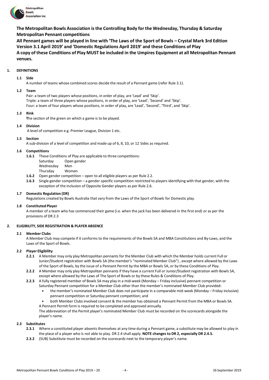

**The Metropolitan Bowls Association isthe Controlling Body for the Wednesday, Thursday & Saturday Metropolitan Pennant competitions**

**All Pennant games will be played in line with 'The Laws of the Sport of Bowls – Crystal Mark 3rd Edition Version 3.1 April 2019' and 'Domestic Regulations April 2019' and these Conditions of Play** A copy of these Conditions of Play MUST be included in the Umpires Equipment at all Metropolitan Pennant **venues.**

# **1. DEFINITIONS**

# **1.1 Side**

A number of teams whose combined scores decide the result of a Pennant game (refer Rule 3.1).

#### **1.2 Team**

Pair: a team of two players whose positions, in order of play, are 'Lead' and 'Skip'. Triple: a team of three players whose positions, in order of play, are 'Lead', 'Second' and 'Skip'. Four: a team of four players whose positions, in order of play, are 'Lead', 'Second', 'Third', and 'Skip'.

# **1.3 Rink**

**T**he section of the green on which a game is to be played.

# **1.4 Division**

A level of competition e.g. Premier League, Division 1 etc.

# **1.5 Section**

A sub-division of a level of competition and made up of 6, 8, 10, or 12 Sides as required.

#### **1.6 Competitions**

**1.6.1** These Conditions of Play are applicable to three competitions:

- Saturday Open gender
- Wednesday Men
- Thursday Women
- **1.6.2** Open gender competition open to all eligible players as per Rule 2.2.
- **1.6.3** Single gender competition a gender specific competition restricted to players identifying with that gender, with the exception of the inclusion of Opposite Gender players as per Rule 2.6.

# **1.7 Domestic Regulation (DR)**

Regulations created by Bowls Australia that vary from the Laws of the Sport of Bowls for Domestic play.

#### **1.8 Constituted Player**

A member of a team who has commenced their game (i.e. when the jack has been delivered in the first end) or as per the provisions of DR 2.3

# **2. ELIGIBILITY, SIDE REGISTRATION & PLAYER ABSENCE**

#### **2.1 Member Clubs**

A Member Club may compete if it conforms to the requirements of the Bowls SA and MBA Constitutions and By-Laws, and the Laws of the Sport of Bowls.

# **2.2 Player Eligibility**

- **2.2.1** A Member may only play Metropolitan pennants for the Member Club with which the Member holds current Full or Junior/Student registration with Bowls SA (the member's "nominated Member Club") , except where allowed by the Laws of the Sport of Bowls, by the issue of a Pennant Permit by the MBA or Bowls SA, or by these Conditions of Play.
- **2.2.2** A Member may only play Metropolitan pennants if they have a current Full or Junior/Student registration with Bowls SA, except where allowed by the Laws of The Sport of Bowls or by these Rules & Conditions of Play.
- **2.2.3** A fully registered member of Bowls SA may play in a mid-week (Monday Friday inclusive) pennant competition or Saturday Pennant competition for a Member Club other than the member's nominated Member Club provided:
	- the member's nominated Member Club does not participate in a comparable mid-week (Monday Friday inclusive) pennant competition or Saturday pennant competition; and
	- both Member Clubs involved consent & the member has obtained a Pennant Permit from the MBA or Bowls SA. A Pennant Permit form is required to be completed and approved annually.

The abbreviation of the Permit player's nominated Member Club must be recorded on the scorecards alongside the player's name.

#### **2.3 Substitutes**

- **2.3.1** Where a constituted player absents themselves at any time during a Pennant game, a substitute may be allowed to play in the place of a player who is not able to play. DR 2.4 shall apply. **NOTE changes to DR 2, especially DR 2.4.5.**
- **2.3.2** (SUB) Substitute must be recorded on the scorecards next to the temporary player's name.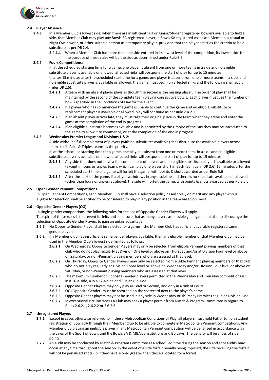

# **2.4 Player Absence**

- **2.4.1** In a Member Club's lowest side, when there are insufficient Full or Junior/Student registered bowlers available to field a side, that Member Club may play any Bowls SA registered player, a Bowls SA registered Associate Member, a casual or Night Owl bowler, or other suitable person as a temporary player, provided that the player satisfies the criteria to be a substitute as per DR 2.4.
	- **2.4.1.1** When a Member Club has more than one side entered in its lowest level of the competition, its lowest side for the purpose of these rules will be the side as determined under Rule 3.5.

# **2.4.2 Fours Competitions:**

If, at the scheduled starting time for a game, one player is absent from one or more teams in a side and no eligible substitute player is available or allowed, affected rinks will postpone the start of play for up to 15 minutes. If, after 15 minutes after the scheduled start time for a game, one player is absent from one or more teams in a side, and no eligible substitute player is available or allowed, the game must begin on affected rinks and the following shall apply (refer DR 2.6):

- **2.4.2.1** A team with an absent player plays as though the second is the missing player. The order of play shall be maintained by the second of the complete team playing consecutive bowls. Each player must use the number of bowls specified in the Conditions of Play for the event.
- **2.4.2.2** If a player who has commenced the game is unable to continue the game and no eligible substitute or replacement player is available or allowed, play will continue as per Rule 2.4.2.1.
- **2.4.2.3** If an absent player arrives late, they must take their original place in the team when they arrive and enter the game at the completion of the end in progress
- **2.4.2.4** If an eligible substitute becomes available and is permitted by the Umpire of the Day they may be introduced to the game to allow it to commence, or at the completion of the end in progress.

# **2.4.3 Wednesday Premier League and Divisions 1 & 2:**

A side without a full complement of players (with no substitutes available) shall distribute the available players across teams to fill Pairs & Triples teams as the priority.

If, at the scheduled starting time for a game, one player is absent from one or more teams in a side and no eligible substitute player is available or allowed, affected rinks will postpone the start of play for up to 15 minutes.

- **2.4.3.1** Any side that does not have a full complement of players and no eligible substitute player is available or allowed (except in fours or triples teams which can play one player short in each team as in DR 2.6) 15 minutes after the scheduled start time of a game will forfeit the game, with points & shots awarded as per Rule 5.6
- **2.4.3.2** After the start of the game, if a player withdraws in any discipline and there is no substitute available or allowed (other than fours or triples, as above), the side will forfeit the game, with points & shots awarded as per Rule 5.6

#### **2.5 Open Gender Pennant Competitions**

In Open Pennant Competitions, each Member Club shall have a selection policy based solely on merit and any player who is eligible for selection shall be entitled to be considered to play in any position in the team based on merit.

# **2.6 Opposite Gender Players (OG)**

In single gender competitions, the following rules for the use of Opposite Gender Players will apply.

The spirit of these rules is to prevent forfeits and so ensure that as many players as possible get a game but also to discourage the selection of Opposite Gender Players to gain an unfair advantage.

- **2.6.1** No Opposite Gender Player shall be selected for a game if the Member Club has sufficient available registered same gender players.
- **2.6.2** If a Member Club has insufficient same gender players available, then any eligible member of that Member Club may be used in the Member Club's lowest side, limited as follows:
	- **2.6.2.1** On Wednesday, Opposite Gender Players may only be selected from eligible Pennant playing members of that club who do not play regularly at Division One level or above on Thursday and/or at Division Four level or above on Saturday, or non-Pennant playing members who are assessed at that level.
	- **2.6.2.2** On Thursday, Opposite Gender Players may only be selected from eligible Pennant playing members of that club who do not play regularly at Division Three level or above on Wednesday and/or Division Four level or above on Saturday, or non-Pennant playing members who are assessed at that level.
	- **2.6.2.3** The maximum number of Opposite Gender players permitted in the Wednesday and Thursday competitions is 5 in a 16-a-side, 4 in a 12-a-side and 3 in an 8-a-side.
	- **2.6.2.4** Opposite Gender Players may only play as Lead or Second, and only in a rink of Fours.
	- **2.6.2.5** OG (Opposite Gender) must be recorded on the scorecard next to the player's name.
	- **2.6.2.6** Opposite Gender players may not be used in any side in Wednesday or Thursday Premier League or Division One.
	- **2.6.2.7** In exceptional circumstances a Club may seek a player permit from Match & Program Committee in regard to Rules 2.6.2.1, 2.6.2.2 or 2.6.2.6.

# **2.7 Unregistered Players**

- **2.7.1** Except in cases otherwise referred to in these Metropolitan Conditions of Play, all players must hold Full or Junior/Student registration of Bowls SA through their Member Club to be eligible to compete in Metropolitan Pennant competitions. Any Member Club playing an ineligible player in any Metropolitan Pennant competition will be penalised in accordance with the Laws of the Sport of Bowls and the Bowls SA & MBA Constitutions and By-Laws. The penalty will be a loss of side points.
- **2.7.2** An audit may be conducted by Match & Program Committee at a scheduled time during the season and spot audits may occur at any time throughout the season. In the event of a side forfeit penalty being imposed, the side receiving the forfeit will not be penalised shots up if they have scored greater than those allocated for a forfeit.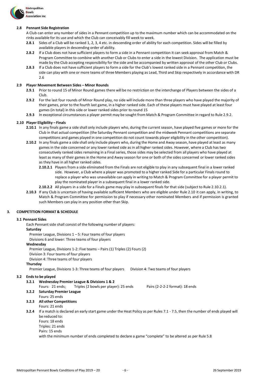

#### **2.8 Pennant Side Registration**

A Club can enter any number of sides in a Pennant competition up to the maximum number which can be accommodated on the rinks available for its use and which the Club can conceivably fill week to week.

- **2.8.1** Sides of a Club will be ranked 1, 2, 3, 4 etc. in descending order of ability for each competition. Sides will be filled by available players in descending order of ability.
- **2.8.2** If a Club does not have sufficient players to form a side in a Pennant competition it can seek approval from Match & Program Committee to combine with another Club or Clubs to enter a side in the lowest Division. The application must be made by the Club accepting responsibility for the side and be accompanied by written approval of the other Club or Clubs.
- **2.8.3** If a Club does not have sufficient players to form a side for the Club's lowest ranked side in a Pennant competition, the side can play with one or more teams of three Members playing as Lead, Third and Skip respectively in accordance with DR 2.6

# **2.9 Player Movement Between Sides – Minor Rounds**

- **2.9.1** Prior to round 15 of Minor Round games there will be no restriction on the interchange of Players between the sides of a Club.
- **2.9.2** For the last four rounds of Minor Round play, no side will include more than three players who have played the majority of their games, prior to the fourth last game, in a higher ranked side. Each of these players must have played at least four games (in total) in this side or lower ranked sides prior to round 15
- **2.9.3** In exceptional circumstances a player permit may be sought from Match & Program Committee in regard to Rule 2.9.2.

# **2.10 Player Eligibility – Finals**

- **2.10.1** In any finals game a side shall only include players who, during the current season, have played five games or more for the Club in that actual competition (the Saturday Pennant competition and the midweek Pennant competitions are separate competitions and games played in one competition do not count towards player eligibility in the other competition).
- **2.10.2** In any finals game a side shall only include players who, during the Home and Away season, have played at least as many games in the side concerned or any lower ranked side as in all higher ranked sides. However, where a Club has two consecutively ranked sides remaining in a Final series, those sides may be selected from all players who have played at least as many of their games in the Home and Away season for one or both of the sides concerned or lower ranked sides as they have in all higher ranked sides.
	- **2.10.2.1** Players from a side eliminated from the Finals are not eligible to play in any subsequent final in a lower ranked side. However, a Club where a player was promoted to a higher ranked Side for a particular Finals round to replace a player who was unavailable can apply in writing to Match & Program Committee for a player permit to play the nominated player in a subsequent final in a lower ranked side.
	- **2.10.2.2** All players in a side for a Finals game may play in subsequent finals for that side (subject to Rule 2.10.2.1).
- **2.10.3** If any Club is uncertain of having available sufficient Members who are eligible under Rule 2.10 it can apply, in writing, to Match & Program Committee for permission to play if necessary other nominated Members and if permission is granted such Members can play in any position other than Skip.

# **3. COMPETITION FORMAT & SCHEDULE**

#### **3.1 Pennant Sides**

Each Pennant side shall consist of the following number of players:

#### **Saturday**

Premier League, Divisions  $1 - 5$ : Four teams of four players

Divisions 6 and lower: Three teams of four players

#### **Wednesday**

Premier League, Divisions 1-2: Five teams – Pairs (1) Triples (2) Fours (2)

Division 3: Four teams of four players

Division 4: Three teams of four players

#### **Thursday**

Premier League, Divisions 1-3: Three teams of four players Division 4: Two teams of four players

#### **3.2 Ends to be played**

- **3.2.1 Wednesday Premier League & Divisions 1 & 2**
	- Fours: 21 ends; Triples (2 bowls per player): 25 ends Pairs (2-2-2-2 format): 18 ends
- **3.2.2 Saturday Premier League**
- Fours: 25 ends

#### **3.2.3 All other Competitions** Fours: 21 ends

- **3.2.4** If a match is declared an early start game under the Heat Policy as per Rules 7.1 7.5, then the number of ends played will be reduced to:
	- Fours: 18 ends
	- Triples: 21 ends
	- Pairs: 15 ends

with the minimum number of ends completed to declare a game "complete" to be altered as per Rule 5.8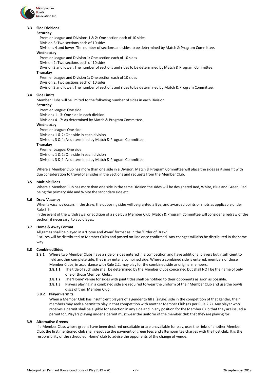

#### **3.3 Side Divisions**

#### **Saturday**

Premier League and Divisions 1 & 2: One section each of 10 sides Division 3: Two sections each of 10 sides

Divisions 4 and lower: The number of sections and sidesto be determined by Match & Program Committee.

# **Wednesday**

Premier League and Division 1: One section each of 10 sides

Division 2: Two sections each of 10 sides

Division 3 and lower: The number of sections and sides to be determined by Match & Program Committee.

# **Thursday**

Premier League and Division 1: One section each of 10 sides Division 2: Two sections each of 10 sides Division 3 and lower: The number of sections and sides to be determined by Match & Program Committee.

#### **3.4 Side Limits**

Member Clubs will be limited to the following number of sides in each Division:

**Saturday**

Premier League: One side Divisions 1 - 3: One side in each division

Divisions 4 - 7: As determined by Match & Program Committee.

# **Wednesday**

Premier League: One side Divisions 1 & 2: One side in each division Divisions 3 & 4: As determined by Match & Program Committee.

#### **Thursday**

Premier League: One side Divisions 1 & 2: One side in each division Divisions 3 & 4: As determined by Match & Program Committee.

Where a Member Club has more than one side in a Division, Match & Program Committee will place the sides as it sees fit with due consideration to travel of allsides in the Sections and requests from the Member Club.

# **3.5 Multiple Sides**

Where a Member Club has more than one side in the same Division the sides will be designated Red, White, Blue and Green; Red being the primary side and White the secondary side etc.

#### **3.6 Draw Vacancy**

When a vacancy occurs in the draw, the opposing sides will be granted a Bye, and awarded points orshots as applicable under Rule 5.9.

In the event of the withdrawal or addition of a side by a Member Club, Match & Program Committee will consider a redraw of the section, if necessary, to avoid Byes.

#### **3.7 Home & Away Format**

All games shall be played in a 'Home and Away' format as in the 'Order of Draw'.

Fixtures will be distributed to Member Clubs and posted on-line once confirmed. Any changes will also be distributed in the same way.

#### **3.8 Combined Sides**

- **3.8.1** Where two Member Clubs have a side or sides entered in a competition and have additional players but insufficient to field another complete side, they may enter a combined side. Where a combined side is entered, members of those Member Clubs, in accordance with Rule 2.2, may play for the combined side as original members.
	- **3.8.1.1** The title of such side shall be determined by the Member Clubs concerned but shall NOT be the name of only one of those Member Clubs.
	- **3.8.1.2** The 'Home' venue for sides with joint titles shall be notified to their opponents as soon as possible.
	- **3.8.1.3** Players playing in a combined side are required to wear the uniform of their Member Club and use the bowls discs of their Member Club.

# **3.8.2 Player Permits**

When a Member Club has insufficient players of a gender to fill a (single) side in the competition of that gender, their members may seek a permit to play in that competition with another Member Club (as per Rule 2.2). Any player who receives a permit shall be eligible for selection in any side and in any position for the Member Club that they are issued a permit for. Players playing under a permit must wear the uniform of the member club that they are playing for.

#### **3.9 Alternative Greens**

If a Member Club, whose greens have been declared unsuitable or are unavailable for play, uses the rinks of another Member Club, the first mentioned club shall negotiate the payment of green fees and afternoon tea charges with the host club. It is the responsibility of the scheduled 'Home' club to advise the opponents of the change of venue.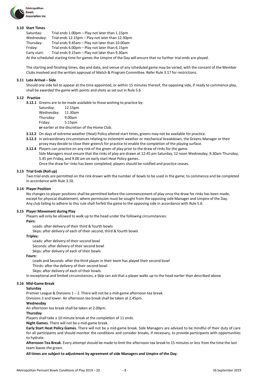

#### **3.10 Start Times**

| Saturday:    | Trial ends 1.00pm – Play not later than 1.15pm                                                                    |
|--------------|-------------------------------------------------------------------------------------------------------------------|
| Wednesday:   | Trial ends 12.15pm - Play not later than 12.30pm                                                                  |
| Thursday:    | Trial ends 9.45am - Play not later than 10.00am                                                                   |
| Friday:      | Trial ends 6.00pm – Play not later than 6.15pm                                                                    |
| Early start: | Trial ends 9.15am - Play not later than 9.30am                                                                    |
|              | At the scheduled starting time for games the Umpire of the Day will ensure that no further trial ends are played. |

The starting and finishing times, day and date, and venue of any scheduled game may be varied, with the consent of the Member Clubs involved and the written approval of Match & Program Committee. Refer Rule 3.17 for restrictions.

#### **3.11 Late Arrival – Side**

Should one side fail to appear at the time appointed, or within 15 minutes thereof, the opposing side, if ready to commence play, shall be awarded the game with points and shots as set out in Rule 5.6

#### **3.12 Practice**

**3.12.1** Greens are to be made available to those wishing to practice by:

| Saturday:  | 12.15pm            |
|------------|--------------------|
| Wednesday: | 11.30am            |
| Thursday:  | 9.00am             |
| Friday:    | 5:15 <sub>pm</sub> |
|            |                    |

**or** earlier at the discretion of the Home Club.

- **3.12.2** On days of extreme weather (Heat) Policy altered start times, greens may not be available for practice.
- **3.12.3** In extraordinary circumstances relating to inclement weather or mechanical breakdown, the Greens Manager or their proxy may decide to close their green/s for practice to enable the completion of the playing surface.
- **3.12.4** Players can practice on any rink of the green of play prior to the draw of rinks for the game.
	- Side Managers must ensure that the rinks of play are drawn at 12:45 pm Saturday, 12 noon Wednesday, 9.30am Thursday, 5.45 pm Friday, and 9.00 am on early start Heat Policy games.
		- Once the draw for rinks has been completed, players should be notified and practice ceases.

#### **3.13 Trial Ends (Roll up)**

Two trial ends are permitted on the rink drawn with the number of bowls to be used in the game; to commence and be completed in accordance with Rule 3.10.

#### **3.14 Player Position**

No changes to player positions shall be permitted before the commencement of play once the draw for rinks has been made, except for physical disablement, where permission must be sought from the opposing side Manager and Umpire of the Day. Any club failing to adhere to this rule shall forfeit the game to the opposing side in accordance with Rule 5.6.

#### **3.15 Player Movement during Play**

Players will only be allowed to walk up to the head under the following circumstances:

#### **Pairs:**

Leads: after delivery of their third & fourth bowls

Skips: after delivery of each of their second, third & fourth bowls

#### **Triples:**

Leads: after delivery of their second bowl Seconds: after delivery of their second bowl

Skips: after delivery of each of their bowls

#### **Fours:**

Leads and Seconds: after the third player in their team has played their second bowl Thirds: after the delivery of their second bowl

Skips: after delivery of each of their bowls.

In exceptional and limited circumstances, a Skip can ask that a player walks up to the head earlier than described above.

# **3.16 Mid-Game Break**

# **Saturday**

Premier League & Divisions 1 – 2. There will not be a mid-game afternoon tea break.

Divisions 3 and lower. An afternoon tea break shall be taken at 2.45pm.

# **Wednesday**

An afternoon tea break shall be taken at 2.00pm.

# **Thursday**

Players shall take a 10 minute break at the completion of 11 ends.

**Night Games.** There will not be a mid-game break.

**Early Start Heat Policy Games**. There will not be a mid-game break. Side Managers are advised to be mindful of their duty of care for all participants and should monitor the conditions and consider breaks, if necessary, to provide participants with opportunities to hydrate.

**Afternoon Tea Break**. Every attempt should be made to limit the afternoon tea break to 15 minutes or less from the time the last team leaves the green.

**All times are subject to adjustment by agreement of side Managers and Umpire of the Day.**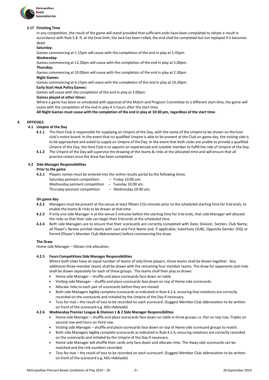

# **3.17 Finishing Time**

In any competition, the result of the game will stand provided that sufficient ends have been completed to obtain a result in accordance with Rule 5.8. If, at the time limit, the Jack has been rolled, the end shall be completed but not replayed if it becomes dead.

#### **Saturday:**

Games commencing at 1.15pm will cease with the completion of the end in play at 5.45pm.

#### **Wednesday:**

Games commencing at 12.30pm will cease with the completion of the end in play at 5.00pm.

**Thursday:**

Games commencing at 10:00am will cease with the completion of the end in play at 2.30pm.

**Night Games:**

Games commencing at 6:15pm will cease with the completion of the end in play at 10.30pm.

# **Early Start Heat Policy Games:**

Games will cease with the completion of the end in play at 2:00pm.

# **Games played at other times:**

Where a game has been re-scheduled with approval of the Match and Program Committee to a different start time, the game will cease with the completion of the end in play 4 ½ hours after the start time.

All Night Games must cease with the completion of the end in play at 10:30 pm, regardless of the start time.

# **4. OFFICIALS**

# **4.1 Umpire of the Day**

- **4.1.1** The Host Club is responsible for supplying an Umpire of the Day, with the name of the Umpire to be shown on the host club's notice board. In the event that no qualified Umpire is able to be present at the Club on game day, the visiting side is to be approached and asked to supply an Umpire of the Day. In the event that both clubs are unable to provide a qualified Umpire of the Day, the Host Club is to appoint an experienced and suitable member to fulfill the role of Umpire of the Day.
- **4.1.2** The Umpire of the Day willsupervise the drawing of the teams & rinks at the allocated time and will ensure that all practice ceases once the draw has been completed.

# **4.2 Side Manager Responsibilities**

# **Prior to the game**

**4.2.1** Players names must be entered into the online results portal by the following times:

- Saturday pennant competition Friday 10:00 am;
	-

Wednesday pennant competition – Tuesday 10:00 am.<br>Thursday pennant competition – Wednesday 10:00 am; Thursday pennant competition

#### **On game day**

- **4.2.2** Managers must be present at the venue at least fifteen (15) minutes prior to the scheduled starting time for trial ends, to enable the teams & rinks to be drawn at that time.
- **4.2.3** If only one side Manager is at the venue 5 minutes before the starting time for trial ends, that side Manager will allocate the rinks so that their side can begin their trial ends at the scheduled time.
- **4.2.4** Both side Managers are to ensure that their scorecards are correctly completed with Date, Division, Section, Club Name, all Player's Names printed clearly with Last and First Name and, if applicable, Substitute (SUB), Opposite Gender (OG) or Permit (Player's Member Club Abbreviation) before commencing the draw.

# **The Draw**

Home side Manager – Obtain rink allocation.

# **4.2.5 Fours Competitions Side Manager Responsibilities**

Where both sides have an equal number of teams of only three players, those teams shall be drawn together. Any additional three-member teams shall be drawn with the remaining four member teams. The draw for opponents and rinks shall be drawn separately for each of these groups. The teams shall then play as drawn.

- Home side Manager shuffle and place scorecards face down on table
- Visiting side Manager shuffle and place scorecards face down on top of Home side scorecards.
- Allocate rinks to each pair of scorecards before they aremoved
- Both side Managers legibly complete scorecards as indicated in Rule 4.2.4, ensuring that notations are correctly recorded on the scorecards and initialed by the Umpire of the Day if necessary.
- Toss for mat the result of toss to be recorded on each scorecard. (Suggest Member Club abbreviation to be written on front of the scorecard e.g. ADL=Adelaide)

# **4.2.6 Wednesday Premier League & Division 1 & 2 Side Manager Responsibilities**

- Home side Manager shuffle and place scorecards face down on table in three groups i.e. Pair on top row, Triples on second row and Fours on third row.
- Visiting side Manager shuffle and place scorecards face down on top of Home side scorecard groups to match.
- Both side Managers legibly complete scorecards asindicated in Rule 4.2.4, ensuring notations are correctly recorded on the scorecards and initialed by the Umpire of the Day if necessary.
- Home side Manager will shuffle their cards only face down and allocate rinks. The Away side scorecards can be matched and the rink numbers recorded.
- Toss for mat the result of toss to be recorded on each scorecard. (Suggest Member Club abbreviation to be written on front of the scorecard e.g. ADL=Adelaide)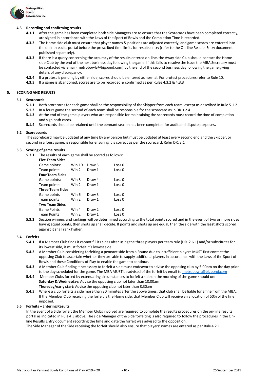

# **4.3 Recording and confirming results**

- **4.3.1** After the game has been completed both side Managers are to ensure that the Scorecards have been completed correctly, are signed in accordance with the Laws of the Sport of Bowls and the Completion Time is recorded.
- **4.3.2** The Home side club must ensure that player names & positions are adjusted correctly, and game scores are entered into the online results portal before the prescribed time limits for results entry (refer to the On-line Results Entry document published separately).
- **4.3.3** If there is a query concerning the accuracy of the results entered on-line, the Away side Club should contact the Home side Club by the end of the next business day following the game. If this fails to resolve the issue the MBA Secretary must be contacted via email [\(metrobowls@bigpond.com\)](mailto:metrobowls@bigpond.com) by the end of the second business day following the game giving details of any discrepancy.
- **4.3.4** If a protest is pending by either side, scores should be entered as normal. For protest procedures refer to Rule 10.
- **4.3.5** If a game is abandoned, scores are to be recorded & confirmed as per Rules 4.3.2 & 4.3.3

# **5. SCORING AND RESULTS**

#### **5.1 Scorecards**

- **5.1.1** Both scorecards for each game shall be the responsibility of the Skipper from each team, except as described in Rule 5.1.2
- **5.1.2** In a fours game the second of each team shall be responsible for the scorecard as in DR 3.2.4
- **5.1.3** At the end of the game, players who are responsible for maintaining the scorecards must record the time of completion and sign both cards.
- **5.1.4** Scorecards should be retained until the pennant season has been completed for audit and dispute purposes**.**

# **5.2 Scoreboards**

The scoreboard may be updated at any time by any person but must be updated at least every second end and the Skipper, or second in a fours game, is responsible for ensuring it is correct as per the scorecard. Refer DR. 3.1

# **5.3 Scoring of game results**

**5.3.1** The results of each game shall be scored as follows:

| <b>Five Team Sides</b>  |        |                   |        |
|-------------------------|--------|-------------------|--------|
| Game points:            | Win 10 | Draw 5            | Loss 0 |
| Team points:            | Win 2  | Draw 1            | Loss 0 |
| <b>Four Team Sides</b>  |        |                   |        |
| Game points:            | Win 8  | Draw <sub>4</sub> | Loss 0 |
| Team points:            | Win 2  | Draw 1            | Loss 0 |
| <b>Three Team Sides</b> |        |                   |        |
| Game points             | Win 6  | Draw <sub>3</sub> | Loss 0 |
| Team points             | Win 2  | Draw 1            | Loss 0 |
| <b>Two Team Sides</b>   |        |                   |        |
| <b>Game Points</b>      | Win 4  | Draw <sub>2</sub> | Loss 0 |
| Team Points             | Win 2  | Draw 1            | Loss 0 |
|                         |        |                   |        |

**5.3.2** Section winners and rankings will be determined according to the total points scored and in the event of two or more sides having equal points, then shots up shall decide. If points and shots up are equal, then the side with the least shots scored against it shall rank higher.

#### **5.4 Forfeits**

- **5.4.1** If a Member Club finds it cannot fill its sides after using the three players per team rule (DR. 2.6.1) and/or substitutes for its lowest side, it must forfeit it's lowest side.
- **5.4.2** A Member Club considering forfeiting a pennant side from a Round due to insufficient players MUST first contact the opposing Club to ascertain whether they are able to supply additional players in accordance with the Laws of the Sport of Bowls and these Conditions of Play to enable the game to continue.
- **5.4.3** A Member Club finding it necessary to forfeit a side must endeavor to advise the opposing club by 5.00pm on the day prior to the day scheduled for the game. The MBA MUST be advised of the forfeit by email to [metrobowls@bigpond.com](mailto:metrobowls@bigpond.com)
- **5.4.4** Member Clubs forced by extenuating circumstances to forfeit a side on the morning of the game should on: **Saturday & Wednesday:** Advise the opposing club not later than 10.00am **Thursday/early start:** Advise the opposing club not later than 8.30am
- **5.4.5** Where a club forfeits a side more than 30 minutes after the above times, that club shall be liable for a fine from the MBA. If the Member Club receiving the forfeit is the Home side, that Member Club willreceive an allocation of 50% of the fine imposed.

#### **5.5 Forfeits – Entering Results**

In the event of a Side forfeit the Member Clubs involved are required to complete the results procedures on the on-line results portal as indicated in Rule 4.3 above. The side Manager of the Side forfeiting is also required to follow the procedures in the Online Results Entry document recording the time and date the forfeit was advised to the opposition.

The Side Manager of the Side receiving the forfeit should also ensure that players' names are entered as per Rule 4.2.1.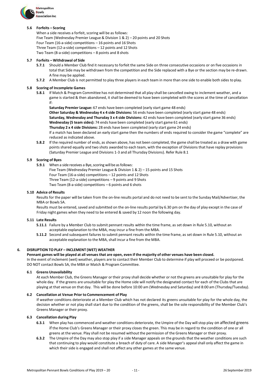

# **5.6 Forfeits – Scoring**

When a side receives a forfeit, scoring will be as follows: Five Team (Wednesday Premier League & Division 1 & 2) – 20 points and 20 Shots Four Team (16-a-side) competitions – 16 points and 16 Shots Three Team (12-a-side) competitions – 12 points and 12 Shots Two Team (8-a-side) competitions – 8 points and 8 shots

# **5.7 Forfeits – Withdrawal of Side**

- **5.7.1** Should a Member Club find it necessary to forfeit the same Side on three consecutive occasions or on five occasions in total that Side may be withdrawn from the competition and the Side replaced with a Bye or the section may be re-drawn. A fine may be applied.
- **5.7.2** A Member Club is not permitted to play three players in each team in more than one side to enable both sides to play.

# **5.8 Scoring of Incomplete Games**

**5.8.1** If Match & Program Committee has not determined that all play shall be cancelled owing to inclement weather, and a game is started & then abandoned, it shall be deemed to have been completed with the scores at the time of cancellation if:

**Saturday Premier League:** 67 ends have been completed (early start game 48 ends)

**Other Saturday & Wednesday 4 x 4 side Divisions:** 56 ends have been completed (early start game 48 ends) **Saturday, Wednesday and Thursday 3 x 4 side Divisions:** 42 ends have been completed (early start game 36 ends) **Wednesday (5 team sides):** 74 ends have been completed (early start game 61 ends)

**Thursday 2 x 4 side Divisions:** 28 ends have been completed (early start game 24 ends)

If a match has been declared an early start game then the numbers of ends required to consider the game "complete" are reduced as indicated above.

**5.8.2** If the required number of ends, as shown above, has not been completed, the game shall be treated as a draw with game points shared equally and two shots awarded to each team, with the exception of Divisions that have replay provisions (Saturday Premier League and Divisions 1-3 and all Thursday Divisions). Refer Rule 8.1

# **5.9 Scoring of Byes**

- **5.9.1** When a side receives a Bye, scoring will be as follows:
	- Five Team (Wednesday Premier League & Division 1 & 2) 15 points and 15 Shots Four Team (16-a-side) competitions – 12 points and 12 Shots Three Team (12-a-side) competitions – 9 points and 9 Shots Two Team (8-a-side) competitions – 6 points and 6 shots

# **5.10 Advice of Results**

Results for the paper will be taken from the on-line results portal and do not need to be sent to the Sunday Mail/Advertiser, the MBA or Bowls SA.

Results must be entered, saved and submitted on the on-line results portal by 6.30 pm on the day of play except in the case of Friday night games when they need to be entered & saved by 12 noon the following day.

#### **5.11 Late Results**

- **5.11.1** Failure by a Member Club to submit pennant results within the time frame, as set down in Rule 5.10, without an acceptable explanation to the MBA, may incur a fine from the MBA.
- **5.11.2** Second and subsequent failures to submit pennant results within the time frame, as set down in Rule 5.10, without an acceptable explanation to the MBA, shall incur a fine from the MBA.

# **6. DISRUPTION TO PLAY – INCLEMENT (WET) WEATHER**

# Pennant games will be played at all venues that are open, even if the majority of other venues have been closed.

In the event of inclement (wet) weather, players are to contact their Member Club to determine if play will proceed or be postponed. DO NOT contact Bowls SA, the MBA or Match & Program Committee.

# **6.1 GreensUnavailability**

At each Member Club, the Greens Manager or their proxy shall decide whether or not the greens are unsuitable for play for the whole day. If the greens are unsuitable for play the Home side will notify the designated contact for each of the Clubs that are playing at that venue on that day. This will be done before 10:00 am (Wednesday and Saturday) and 8:00 am (Thursday/Tuesday).

# **6.2 Cancellation at Venue Prior to Commencement of Play**

If weather conditions deteriorate at a Member Club which has not declared its greens unsuitable for play for the whole day, the decision whether or not play shall start due to the condition of the greens, shall be the sole responsibility of the Member Club's Greens Manager or their proxy.

#### **6.3 Cancellation during Play**

- **6.3.1** When play has commenced and weather conditions deteriorate, the Umpire of the Day will stop play on affected greens if the Home Club's Greens Manager or their proxy closes the green. This may be in regard to the condition of one or all greens at the venue. Play shall not be resumed without the permission of the Greens Manager or their proxy.
- **6.3.2** The Umpire of the Day may also stop play if a side Manager appeals on the grounds that the weather conditions are such that continuing to play would constitute a breach of duty of care. A side Manager's appealshall only affect the game in which their side is engaged and shall not affect any other games at the same venue.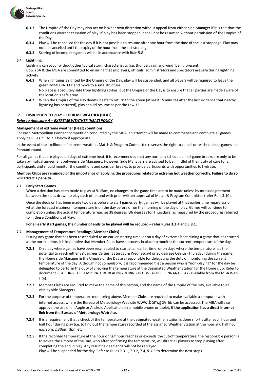

- **6.3.3** The Umpire of the Day may also act on his/her own discretion without appeal from either side Manager if it is felt that the conditions warrant cessation of play. If play has been stopped it shall not be resumed without permission of the Umpire of the Day.
- **6.3.4** Play will be cancelled for the day if it is not possible to resume after one hour from the time of the last stoppage. Play may not be cancelled until the expiry of the hour from the last stoppage.
- **6.3.5** Scoring of incomplete games will be in accordance with Rule 5.8

# **6.4 Lightning**

Lightning can occur without other typical storm characteristics (i.e. thunder, rain and wind) being present.

Bowls SA & the MBA are committed to ensuring that all players, officials, administrators and spectators are safe during lightning activity

**6.4.1** When lightning is sighted by the Umpire of the Day, play will be suspended, and all players will be required to leave the green IMMEDIATELY and move to a safe structure.

No place is absolutely safe from lightning strikes, but the Umpire of the Day is to ensure that all parties are made aware of the location's safe areas.

**6.4.2** When the Umpire of the Day deems it safe to return to the green (at least 15 minutes after the last evidence that nearby lightning has occurred), play should resume as per the Law 32

# **7. DISRUPTION TO PLAY – EXTREME WEATHER (HEAT)**

# *Refer to Annexure A – EXTREME WEATHER (HEAT) POLICY*

# **Management of extreme weather (Heat) conditions**

For each Metropolitan Pennant competition conducted by the MBA, an attempt will be made to commence and complete all games, applying Rules 7.1 to 7.7 below if appropriate.

In the event of the likelihood of extreme weather, Match & Program Committee reserves the right to cancel or reschedule all games in a Pennant round.

For all games that are played on days of extreme heat, it is recommended that any normally scheduled mid-game breaks are only to be taken by mutual agreement between side Managers. However, Side Managers are advised to be mindful of their duty of care for all participants and should monitor the conditions and consider breaks, to provide participants with opportunities to hydrate.

# Member Clubs are reminded of the importance of applying the procedures related to extreme hot weather correctly. Failure to do so **will attract a penalty.**

# **7.1 Early Start Games**

When a decision has been made to play at 9.15am, no changes to the game time are to be made unless by mutual agreement between the sides drawn to play each other and with prior written approval of Match & Program Committee (refer Rule 3.10).

Once the decision has been made two days before to start games early, games will be played at that earlier time regardless of what the forecast maximum temperature is on the day before or on the morning of the day of play. Games will continue to completion unless the actual temperature reaches 38 degrees (36 degrees for Thursdays) as measured by the procedures referred to in these Conditions of Play.

# For all early start games, the number of ends to be played will be reduced - refer Rules 3.2.4 and 5.8.1.

# **7.2 Management of Temperature Readings (Member Clubs)**

During any game that has been rescheduled to an earlier starting time, or on a day of extreme heat during a game that has started at the normal time, it is imperative that Member Clubs have a process in place to monitor the current temperature of the day.

- **7.2.1** On a day where games have been rescheduled to start at an earlier time, or on days where the temperature has the potential to reach either 38 degrees Celsius (Saturday & Wednesday) or 36 degrees Celsius (Thursday) during the game, the Home side Manager & the Umpire of the Day are responsible for delegating the duty of monitoring the current temperature of the day. Although not compulsory, it is recommended that a person who is "non-playing" for the day be delegated to perform the duty of checking the temperature at the designated Weather Station for the Home club. Refer to document – GETTING THE TEMPERATURE READING DURING HOT WEATHER PENNANT PLAY (available from the MBA Web site).
- **7.2.2** Member Clubs are required to make the name of this person, and the name of the Umpire of the Day, available to all visiting side Managers.
- **7.2.3** For the purpose of temperature monitoring above, Member Clubs are required to make available a computer with internet access, where the Bureau of Meteorology Web site [www.bom.gov.au](http://www.bom.gov.au/) can be accessed. The MBA will also approve the use of an Apple or Android Application on a mobile phone or tablet**, if the application has a direct internet link from the Bureau of Meteorology Web site.**
- **7.2.4** It is a requirement that a check of the temperature at the designated weather station is done shortly after each hour and half hour during play (i.e. to find out the temperature recorded at the assigned Weather Station at the hour and half hour e.g. 2pm, 2.30pm, 3pm etc.).
- **7.2.5** If the recorded temperature at the hour or half hour reaches or exceeds the cut-off temperature, the responsible person is to advise the Umpire of the Day, who after confirming the temperature, will direct all players to stop playing after completing the end in play. Any resulting dead ends will not be replayed. Play will be suspended for the day. Refer to Rules 7.3.1, 7.3.2, 7.4, & 7.5 to determine the next steps.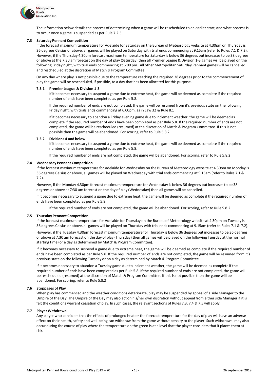

The information below details the process of determining when a game will be rescheduled to an earlier start, and what process is to occur once a game is suspended as per Rule 7.2.5.

# **7.3 Saturday Pennant Competition**

If the forecast maximum temperature for Adelaide for Saturday on the Bureau of Meteorology website at 4.30pm on Thursday is 36 degrees Celsius or above, all games will be played on Saturday with trial ends commencing at 9.15am (refer to Rules 7.1 & 7.2). However, if the Thursday 4.30pm forecast maximum temperature for Saturday is below 36 degrees but increases to be 38 degrees or above at the 7:30 am forecast on the day of play (Saturday) then all Premier League & Division 1-3 games will be played on the following Friday night, with trial ends commencing at 6:00 pm. All other Metropolitan Saturday Pennant games will be cancelled and rescheduled at the discretion of Match & Program Committee.

On any day where play is not possible due to the temperature reaching the required 38 degrees prior to the commencement of play the game will be rescheduled, if possible, to a day that has been allocated for this purpose.

#### **7.3.1 Premier League & Division 1-3**

If it becomes necessary to suspend a game due to extreme heat, the game will be deemed as complete if the required number of ends have been completed as per Rule 5.8.

If the required number of ends are not completed, the game will be resumed from it's previous state on the following Friday night, with trials ends commencing at 6.00pm, asin Law 32 & Rule 8.1

If it becomes necessary to abandon a Friday evening game due to inclement weather, the game will be deemed as complete if the required number of ends have been completed as per Rule 5.8. If the required number of ends are not completed, the game will be rescheduled (resumed) at the discretion of Match & Program Committee. If this is not possible then the game will be abandoned. For scoring, refer to Rule 5.8.2

#### **7.3.2 Divisions 4 and below**

If it becomes necessary to suspend a game due to extreme heat, the game will be deemed as complete if the required number of ends have been completed as per Rule 5.8.

If the required number of ends are not completed, the game will be abandoned. For scoring, refer to Rule 5.8.2

# **7.4 Wednesday Pennant Competition**

If the forecast maximum temperature for Adelaide for Wednesday on the Bureau of Meteorology website at 4.30pm on Monday is 36 degrees Celsius or above, all games will be played on Wednesday with trial ends commencing at 9.15am (refer to Rules 7.1 & 7.2).

However, if the Monday 4.30pm forecast maximum temperature for Wednesday is below 36 degrees but increases to be 38 degrees or above at 7:30 am forecast on the day of play (Wednesday) then all games will be cancelled.

If it becomes necessary to suspend a game due to extreme heat, the game will be deemed as complete if the required number of ends have been completed as per Rule 5.8.

If the required number of ends are not completed, the game will be abandoned. For scoring, refer to Rule 5.8.2

#### **7.5 Thursday Pennant Competition**

If the forecast maximum temperature for Adelaide for Thursday on the Bureau of Meteorology website at 4.30pm on Tuesday is 36 degrees Celsius or above, all games will be played on Thursday with trial ends commencing at 9.15am (refer to Rules 7.1 & 7.2).

However, if the Tuesday 4.30pm forecast maximum temperature for Thursday is below 36 degrees but increasesto be 36 degrees or above at 7:30 am forecast on the day of play (Thursday) then all games will be played on the following Tuesday at the normal starting time (or a day as determined by Match & Program Committee).

If it becomes necessary to suspend a game due to extreme heat, the game will be deemed as complete if the required number of ends have been completed as per Rule 5.8. If the required number of ends are not completed, the game will be resumed from it's previous state on the following Tuesday or on a day as determined by Match & Program Committee.

If it becomes necessary to abandon a Tuesday game due to inclement weather, the game will be deemed as complete if the required number of ends have been completed as per Rule 5.8. If the required number of ends are not completed, the game will be rescheduled (resumed) at the discretion of Match & Program Committee. If this is not possible then the game will be abandoned. For scoring, refer to Rule 5.8.2

# **7.6 Stoppages of Play**

When play has commenced and the weather conditions deteriorate, play may be suspended by appeal of a side Manager to the Umpire of the Day. The Umpire of the Day may also act on his/her own discretion without appeal from either side Manager if it is felt the conditions warrant cessation of play. In such cases, the relevant sections of Rules 7.3, 7.4 & 7.5 will apply.

# **7.7 Player Withdrawal**

Any player who considers that the effects of prolonged heat or the forecast temperature for the day of play will have an adverse effect on their health, safety and well-being can withdraw from the game without penalty to the player. Such withdrawal may also occur during the course of play where the temperature on the green is at a level that the player considers that it places them at risk.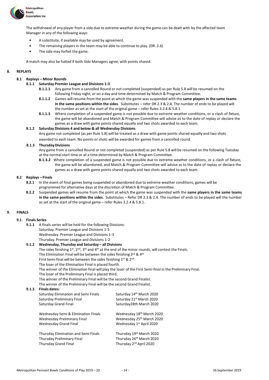

The withdrawal of any player from a side due to extreme weather during the game can be dealt with by the affected team Manager in any of the following ways:

- A substitute, if available may be used by agreement.
- The remaining players in the team may be able to continue to play. (DR. 2.6)
- The side may forfeit the game.

A match may also be halted if both Side Managers agree, with points shared.

# **8. REPLAYS**

# **8.1 Replays – Minor Rounds**

- **8.1.1 Saturday Premier League and Divisions 1-3**
	- **8.1.1.1** Any game from a cancelled Round or not completed (suspended) as per Rule 5.8 will be resumed on the following Friday night, or on a day and time determined by Match & Program Committee.
	- **8.1.1.2** Games willresume from the point at which the game was suspended with the **same players in the same teams in the same positions within the sides**. Substitutes – refer DR 2.3 & 2.4. The number of ends to be played will the number as set at the start of the original game – refer Rules 3.2.4 & 5.8.1
	- **8.1.1.3** Where completion of a suspended game is not possible due to extreme weather conditions, or a clash of fixture, the game will be abandoned and Match & Program Committee will advise as to the date of replay or declare the games as a draw with game points shared equally and two shots awarded to each team.

# **8.1.2 Saturday Divisions 4 and below & all Wednesday Divisions**

Any game not completed (as per Rule 5.8) will be treated as a draw with game points shared equally and two shots awarded to each team. No points or shots will be awarded for games from a cancelled round.

# **8.1.3 ThursdayDivisions**

Any game from a cancelled Round or not completed (suspended) as per Rule 5.8 will be resumed on the following Tuesday at the normal start time or at a time determined by Match & Program Committee.

**8.1.3.2** Where completion of a suspended game is not possible due to extreme weather conditions, or a clash of fixture, the game will be abandoned, and Match & Program Committee will advise as to the date of replay or declare the games as a draw with game points shared equally and two shots awarded to each team.

# **8.2 Replays – Finals**

- **8.2.1** In the event of final games being suspended or abandoned due to extreme weather conditions, games will be programmed for alternative days at the discretion of Match & Program Committee.
- **8.2.2** Suspended games will resume from the point at which the game was suspended with the **same players in the same teams in the same positions within the sides**. Substitutes – Refer DR 2.3 & 2.4. The number of ends to be played will the number as set at the start of the original game – refer Rules 3.2.4 & 5.8.1.

# **9. FINALS**

# **9.1 Finals Series**

- **9.1.1** A finals series will be held for the following Divisions: Saturday. Premier League and Divisions 1-5
	- Wednesday. Premier League and Divisions 1-3
	- Thursday. Premier League and Divisions 1-2

# **9.1.2 Wednesday, Thursday and Saturday – all Divisions**

The sides finishing 1<sup>st</sup>, 2<sup>nd</sup>, 3<sup>rd</sup> and 4<sup>th</sup> at the end of the minor rounds, will contest the Finals.

The Elimination Final will be between the sides finishing 3<sup>rd</sup> & 4<sup>th</sup>

First Semi-final will be between the sides finishing 1st & 2nd.

The loser of the Elimination Final is placed fourth.

The winner of the Elimination final will play the loser of the First Semi-final in the Preliminary Final.

The loser of the Preliminary Final is placed third.

The winner of the Preliminary Final will be the second Grand Finalist.

The winner of the Preliminary Final will be the second Grand Finalist.

# **9.1.3 Finals dates:**

| Saturday Elimination and Semi Finals | Saturday 14th March 2020            |
|--------------------------------------|-------------------------------------|
| Saturday Preliminary Final           | Saturday 21st March 2020            |
| Saturday Grand Final                 | Saturday28th March 2020             |
| Wednesday Semi & Elimination Finals  | Wednesday 18th March 2020           |
| Wednesday Preliminary Final          | Wednesday 25th March 2020           |
| <b>Wednesday Grand Final</b>         | Wednesday 1st April 2020            |
| Thursday Elimination and Semi Finals | Thursday 19th March 2020            |
| Thursday Preliminary Final           | Thursday 26th March 2020            |
| <b>Thursday Grand Final</b>          | Thursday 2 <sup>nd</sup> April 2020 |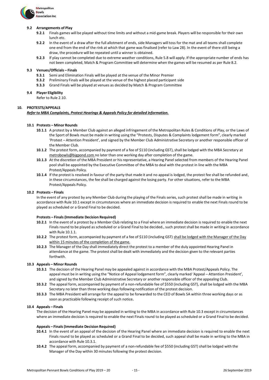

# **9.2 Arrangements of Play**

- **9.2.1** Finals games will be played without time limits and without a mid-game break. Players will be responsible for their own lunch etc.
- **9.2.2** In the event of a draw after the full allotment of ends, side Managers will toss for the mat and all teams shall complete one end from the end of the rink at which that game was finalised (refer to Law 28). In the event of there still being a draw, the procedure will be repeated until a winner is obtained.
- **9.2.3** If play cannot be completed due to extreme weather conditions, Rule 5.8 will apply. If the appropriate number of ends has not been completed, Match & Program Committee will determine when the games will be resumed as per Rule 8.2.

# **9.3 Venues/Officials – Finals**

- **9.3.1** Semi and Elimination Finals will be played at the venue of the Minor Premier
- **9.3.2** Preliminary Finals will be played at the venue of the highest placed participant side
- **9.3.3** Grand Finals will be played at venues as decided by Match & Program Committee

# **9.4 Player Eligibility**

Refer to Rule 2.10.

# **10. PROTESTS/APPEALS**

# *Refer to MBA Complaints, Protest Hearings & Appeals Policy for detailed information.*

# **10.1 Protests – Minor Rounds**

- **10.1.1** A protest by a Member Club against an alleged infringement of the Metropolitan Rules & Conditions of Play, or the Laws of the Sport of Bowls must be made in writing using the "Protests, Disputes & Complaints lodgement form", clearly marked 'Protest – Attention President', and signed by the Member Club Administrative Secretary or another responsible officer of the Member Club.
- 10.1.2 The protest form, accompanied by payment of a fee of \$110 (including GST), shall be lodged with the MBA Secretary at [metrobowls@bigpond.com n](mailto:metrobowls@bigpond.com)o later than one working day after completion of the game.
- **10.1.3** At the discretion of the MBA President or hisrepresentative, a Hearing Panelselected from members of the Hearing Panel pool shall be appointed by the Executive Committee of the MBA to deal with the protest in line with the MBA Protest/Appeals Policy.
- **10.1.4** If the protest is resolved in favour of the party that made it and no appeal is lodged, the protest fee shall be refunded and, in these circumstances, the fee shall be charged against the losing party. For other situations, refer to the MBA Protest/Appeals Policy.

# **10.2 Protests – Finals**

In the event of any protest by any Member Club during the playing of the Finals series, such protest shall be made in writing in accordance with Rule 10.1 except in circumstances where an immediate decision is required to enable the next Finals round to be played as scheduled or a Grand Final to be decided.

#### **Protests – Finals (Immediate Decision Required)**

- **10.2.1** In the event of a protest by a Member Club relating to a Final where an immediate decision is required to enable the next Finals round to be played as scheduled or a Grand Final to be decided., such protest shall be made in writing in accordance with Rule 10.1.1.
- **10.2.2** The protest form, accompanied by payment of a fee of \$110 (including GST) shall be lodged with the Manager of the Day within 15 minutes of the completion of the game.
- **10.2.3** The Manager of the Day shall immediately direct the protest to a member of the duly appointed Hearing Panel in attendance at the game. The protest shall be dealt with immediately and the decision given to the relevant parties forthwith.

#### **10.3 Appeals – Minor Rounds**

- **10.3.1** The decision of the Hearing Panel may be appealed against in accordance with the MBA Protest/Appeals Policy. The appeal must be in writing using the "Notice of Appeal lodgement form", clearly marked 'Appeal – Attention President', and signed by the Member Club Administrative Secretary or another responsible officer of the appealing Club.
- **10.3.2** The appeal form, accompanied by payment of a non-refundable fee of \$550 (including GST), shall be lodged with the MBA Secretary no later than three working days following notification of the protest decision.
- **10.3.3** The MBA President will arrange for the appeal to be forwarded to the CEO of Bowls SA within three working days or as soon as practicable following receipt of such notice**.**

# **10.4 Appeals – Finals**

The decision of the Hearing Panel may be appealed in writing to the MBA in accordance with Rule 10.3 except in circumstances where an immediate decision is required to enable the next Finals round to be played as scheduled or a Grand Final to be decided.

#### **Appeals – Finals(Immediate Decision Required)**

- **10.4.1** In the event of an appeal of the decision of the Hearing Panel where an immediate decision is required to enable the next Finals round to be played as scheduled or a Grand Final to be decided, such appeal shall be made in writing to the MBA in accordance with Rule 10.3.1.
- **10.4.2** The appeal form, accompanied by payment of a non-refundable fee of \$550 (including GST) shall be lodged with the Manager of the Day within 30 minutes following the protest decision.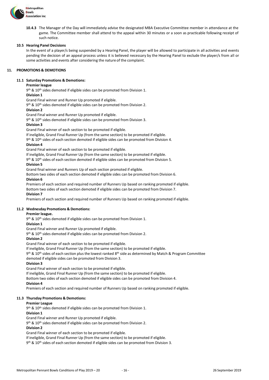

**10.4.3** The Manager of the Day will immediately advise the designated MBA Executive Committee member in attendance at the game. The Committee member shall attend to the appeal within 30 minutes or a soon as practicable following receipt of such notice.

# **10.5 Hearing Panel Decisions**

In the event of a player/s being suspended by a Hearing Panel, the player will be allowed to participate in all activities and events pending the decision of an appeal process unless it is believed necessary by the Hearing Panel to exclude the player/s from all or some activities and events after considering the nature of the complaint.

# **11. PROMOTIONS & DEMOTIONS**

# **11.1 Saturday Promotions & Demotions:**

# **Premier league**

9<sup>th</sup> & 10<sup>th</sup> sides demoted if eligible sides can be promoted from Division 1.

#### **Division 1**

Grand Final winner and Runner Up promoted if eligible.

9 th & 10th sides demoted if eligible sides can be promoted from Division 2.

# **Division 2**

Grand Final winner and Runner Up promoted if eligible.

9 th & 10th sides demoted if eligible sides can be promoted from Division 3.

# **Division 3**

Grand Final winner of each section to be promoted if eligible.

If ineligible, Grand Final Runner Up (from the same section) to be promoted if eligible.

9<sup>th</sup> & 10<sup>th</sup> sides of each section demoted if eligible sides can be promoted from Division 4.

# **Division 4**

Grand Final winner of each section to be promoted if eligible.

If ineligible, Grand Final Runner Up (from the same section) to be promoted if eligible.

9<sup>th</sup> & 10<sup>th</sup> sides of each section demoted if eligible sides can be promoted from Division 5.

# **Division 5**

Grand final winner and Runners Up of each section promoted if eligible.

Bottom two sides of each section demoted if eligible sides can be promoted from Division 6.

# **Division 6**

Premiers of each section and required number of Runners Up based on ranking promoted if eligible. Bottom two sides of each section demoted if eligible sides can be promoted from Division 7.

# **Division 7**

Premiers of each section and required number of Runners Up based on ranking promoted if eligible.

# **11.2 Wednesday Promotions & Demotions:**

# **Premier league.**

9<sup>th</sup> & 10<sup>th</sup> sides demoted if eligible sides can be promoted from Division 1.

#### **Division 1**

Grand Final winner and Runner Up promoted if eligible.

9 th & 10th sides demoted if eligible sides can be promoted from Division 2.

#### **Division 2**

Grand Final winner of each section to be promoted if eligible.

If ineligible, Grand Final Runner Up (from the same section) to be promoted if eligible.

9<sup>th</sup> & 10<sup>th</sup> sides of each section plus the lowest ranked 8<sup>th</sup> side as determined by Match & Program Committee demoted if eligible sides can be promoted from Division 3.

#### **Division 3**

Grand Final winner of each section to be promoted if eligible.

If ineligible, Grand Final Runner Up (from the same section) to be promoted if eligible.

Bottom two sides of each section demoted if eligible sides can be promoted from Division 4.

# **Division 4**

Premiers of each section and required number of Runners Up based on ranking promoted if eligible.

# **11.3 Thursday Promotions & Demotions:**

# **Premier League**

9 th & 10th sides demoted if eligible sides can be promoted from Division 1.

#### **Division 1**

Grand Final winner and Runner Up promoted if eligible.

9<sup>th</sup> & 10<sup>th</sup> sides demoted if eligible sides can be promoted from Division 2.

# **Division 2**

Grand Final winner of each section to be promoted if eligible.

If ineligible, Grand Final Runner Up (from the same section) to be promoted if eligible.

9<sup>th</sup> & 10<sup>th</sup> sides of each section demoted if eligible sides can be promoted from Division 3.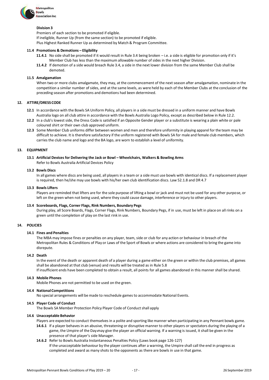

# **Division 3**

Premiers of each section to be promoted if eligible. If ineligible, Runner Up (from the same section) to be promoted if eligible. Plus Highest Ranked Runner Up as determined by Match & Program Committee.

# **11.4 Promotions & Demotions – Eligibility**

- **11.4.1** No side shall be promoted if it would result in Rule 3.4 being broken i.e. a side is eligible for promotion only if it's Member Club has less than the maximum allowable number of sides in the next higher Division.
- **11.4.2** If demotion of a side would breach Rule 3.4, a side in the next lower division from the same Member Club shall be demoted.

#### **11.5 Amalgamation**

When two or more clubs amalgamate, they may, at the commencement of the next season after amalgamation, nominate in the competition a similar number of sides, and at the same levels, as were held by each of the Member Clubs at the conclusion of the preceding season after promotions and demotions had been determined.

# **12. ATTIRE/DRESS CODE**

- **12.1** In accordance with the Bowls SA Uniform Policy, all players in a side must be dressed in a uniform manner and have Bowls Australia logo on all club attire in accordance with the Bowls Australia Logo Policy, except as described below in Rule 12.2.
- **12.2** In a club's lowest side, the Dress Code is satisfied if an Opposite Gender player or a substitute is wearing a plain white or pale coloured shirt or their own club approved uniform.
- **12.3** Some Member Club uniforms differ between women and men and therefore uniformity in playing apparel for the team may be difficult to achieve. It is therefore satisfactory if the uniform registered with Bowls SA for male and female club members, which carries the club name and logo and the BA logo, are worn to establish a level of uniformity.

# **13. EQUIPMENT**

# **13.1 Artificial Devices for Delivering the Jack or Bowl – Wheelchairs, Walkers & Bowling Arms**

Refer to Bowls [Australia](https://www.bowls.com.au/wp-content/uploads/2019/03/Artificial-Devices-Policy_February-2019.pdf) Artificial Devices Policy

# **13.2 Bowls Discs**

In all games where discs are being used, all players in a team or a side must use bowls with identical discs. If a replacement player is required, then he/she may use bowls with his/her own club identification discs. Law 52.1.8 and DR 4.7

# **13.3 Bowls Lifters**

Players are reminded that lifters are for the sole purpose of lifting a bowl or jack and must not be used for any other purpose, or left on the green when not being used, where they could cause damage, interference or injury to other players.

# **13.4 Scoreboards, Flags, Corner Flags, Rink Numbers, Boundary Pegs**

During play, all Score Boards, Flags, Corner Flags, Rink Numbers, Boundary Pegs, if in use, must be left in place on all rinks on a green until the completion of play on the last rink in use.

# **14. POLICIES**

# **14.1 Fines and Penalties**

The MBA may impose fines or penalties on any player, team, side or club for any action or behaviour in breach of the Metropolitan Rules & Conditions of Play or Laws of the Sport of Bowls or where actions are considered to bring the game into disrepute.

# **14.2 Death**

In the event of the death or apparent death of a player during a game either on the green or within the club premises, all games shall be abandoned at that club (venue) and results will be treated as in Rule 5.8 If insufficient ends have been completed to obtain a result, all points for all games abandoned in this manner shall be shared.

#### **14.3 Mobile Phones**

Mobile Phones are not permitted to be used on the green.

#### **14.4 National Competitions**

No special arrangements will be made to reschedule games to accommodate National Events.

# **14.5 Player Code of Conduct**

The Bowls SA Member Protection Policy Player Code of Conduct shall apply

#### **14.6 Unacceptable Behavior**

- Players are expected to conduct themselves in a polite and sporting like manner when participating in any Pennant bowls game.
- **14.6.1** If a player behaves in an abusive, threatening or disruptive manner to other players or spectators during the playing of a game, the Umpire of the Day may give the player an official warning. If a warning is issued, it shall be given in the presence of that player's side Manager.
- **14.6.2** Refer to Bowls Australia Instantaneous Penalties Policy (Laws book page 126-127) If the unacceptable behaviour by the player continues after a warning, the Umpire shall call the end in progress as completed and award as many shots to the opponents as there are bowls in use in that game.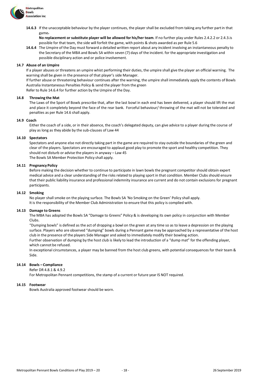

**14.6.3** If the unacceptable behaviour by the player continues, the player shall be excluded from taking any further partin that game.

**No replacement or substitute player will be allowed for his/her team**. If no further play under Rules 2.4.2.2 or 2.4.3.is possible for that team, the side will forfeit the game, with points & shots awarded as per Rule 5.6

**14.6.4** The Umpire of the Day must forward a detailed written report about any incident involving an instantaneous penalty to the Secretary of the MBA and Bowls SA within seven (7) days of the incident. for the appropriate investigation and possible disciplinary action and or police involvement.

# **14.7 Abuse of an Umpire**

If a player abuses or threatens an umpire whist performing their duties, the umpire shall give the player an official warning. The warning shall be given in the presence of that player's side Manager.

If further abuse or threatening behaviour continues after the warning, the umpire shall immediately apply the contents of Bowls Australia Instantaneous Penalties Policy & send the player from the green

Refer to Rule 14.6.4 for further action by the Umpire of the Day.

# **14.8 Throwing the Mat**

The Laws of the Sport of Bowls prescribe that, after the last bowl in each end has been delivered, a player should lift the mat and place it completely beyond the face of the rear bank. Forceful behaviour/ throwing of the mat will not be tolerated and penalties as per Rule 14.6 shall apply.

# **14.9 Coach**

Either the coach of a side, or in their absence, the coach's delegated deputy, can give advice to a player during the course of play as long as they abide by the sub-clauses of Law 44

# **14.10 Spectators**

Spectators and anyone else not directly taking part in the game are required to stay outside the boundaries of the green and clear of the players. Spectators are encouraged to applaud good play to promote the sport and healthy competition. They should not disturb or advise the players in anyway – Law 45 The Bowls SA Member Protection Policy shall apply.

# **14.11 Pregnancy Policy**

Before making the decision whether to continue to participate in lawn bowls the pregnant competitor should obtain expert medical advice and a clear understanding of the risks related to playing sport in that condition. Member Clubs should ensure that their public liability insurance and professional indemnity insurance are current and do not contain exclusions for pregnant participants.

#### **14.12 Smoking**

No player shall smoke on the playing surface. The Bowls SA 'No Smoking on the Green' Policy shall apply. It is the responsibility of the Member Club Administration to ensure that this policy is complied with.

# **14.13 Damage to Greens**

The MBA has adopted the Bowls SA "Damage to Greens" Policy & is developing its own policy in conjunction with Member Clubs.

"Dumping bowls" is defined as the act of dropping a bowl on the green at any time so as to leave a depression on the playing surface. Players who are observed "dumping" bowls during a Pennant game may be approached by a representative of the host club in the presence of the players Side Manager and asked to immediately modify their bowling action.

Further observation of dumping by the host club is likely to lead the introduction of a "dump mat" for the offending player, which cannot be refused.

In exceptional circumstances, a player may be banned from the host club greens, with potential consequences for their team & Side.

# **14.14 Bowls – Compliance**

Refer DR 4.8.1 & 4.9.2

For Metropolitan Pennant competitions, the stamp of a current or future year IS NOT required.

#### **14.15 Footwear**

Bowls Australia approved footwear should be worn.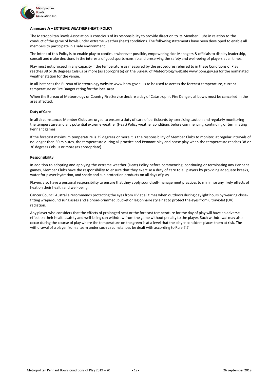

# **Annexure A – EXTREME WEATHER (HEAT) POLICY**

The Metropolitan Bowls Association is conscious of its responsibility to provide direction to its Member Clubs in relation to the conduct of the game of bowls under extreme weather (heat) conditions. The following statements have been developed to enable all members to participate in a safe environment

The intent of this Policy is to enable play to continue wherever possible, empowering side Managers & officials to display leadership, consult and make decisions in the interests of good sportsmanship and preserving the safety and well-being of players at all times.

Play must not proceed in any capacity if the temperature as measured by the procedures referred to in these Conditions of Play reaches 38 or 36 degrees Celsius or more (as appropriate) on the Bureau of Meteorology website [www.bom.gov.au](http://www.bom.gov.au/) for the nominated weather station for the venue.

In all instances the Bureau of Meteorology website [www.bom.gov.au](http://www.bom.gov.au/) is to be used to access the forecast temperature, current temperature or Fire Danger rating for the local area.

When the Bureau of Meteorology or Country Fire Service declare a day of Catastrophic Fire Danger, all bowls must be cancelled in the area affected.

#### **Duty of Care**

In all circumstances Member Clubs are urged to ensure a duty of care of participants by exercising caution and regularly monitoring the temperature and any potential extreme weather (Heat) Policy weather conditions before commencing, continuing or terminating Pennant games.

If the forecast maximum temperature is 35 degrees or more it is the responsibility of Member Clubs to monitor, at regular intervals of no longer than 30 minutes, the temperature during all practice and Pennant play and cease play when the temperature reaches 38 or 36 degrees Celsius or more (as appropriate).

# **Responsibility**

In addition to adopting and applying the extreme weather (Heat) Policy before commencing, continuing or terminating any Pennant games, Member Clubs have the responsibility to ensure that they exercise a duty of care to all players by providing adequate breaks, water for player hydration, and shade and sun protection products on all days of play

Players also have a personal responsibility to ensure that they apply sound self-management practices to minimise any likely effects of heat on their health and well-being.

Cancer Council Australia recommends protecting the eyes from UV at all times when outdoors during daylight hours by wearing closefitting wraparound sunglasses and a broad-brimmed, bucket or legionnaire style hat to protect the eyesfrom ultraviolet (UV) radiation.

Any player who considers that the effects of prolonged heat or the forecast temperature for the day of play will have an adverse effect on their health, safety and well-being can withdraw from the game without penalty to the player. Such withdrawal may also occur during the course of play where the temperature on the green is at a level that the player considers places them at risk. The withdrawal of a player from a team under such circumstances be dealt with according to Rule 7.7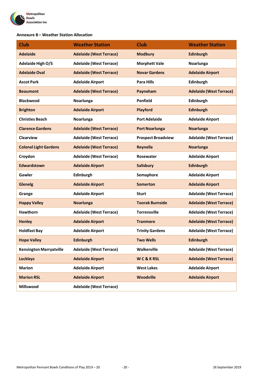

# **Annexure B – Weather Station Allocation**

| <b>Club</b>                    | <b>Weather Station</b>         | <b>Club</b>               | <b>Weather Station</b>         |
|--------------------------------|--------------------------------|---------------------------|--------------------------------|
| <b>Adelaide</b>                | <b>Adelaide (West Terrace)</b> | <b>Modbury</b>            | <b>Edinburgh</b>               |
| <b>Adelaide High O/S</b>       | <b>Adelaide (West Terrace)</b> | <b>Morphett Vale</b>      | Noarlunga                      |
| <b>Adelaide Oval</b>           | <b>Adelaide (West Terrace)</b> | <b>Novar Gardens</b>      | <b>Adelaide Airport</b>        |
| <b>Ascot Park</b>              | <b>Adelaide Airport</b>        | <b>Para Hills</b>         | <b>Edinburgh</b>               |
| <b>Beaumont</b>                | <b>Adelaide (West Terrace)</b> | Payneham                  | <b>Adelaide (West Terrace)</b> |
| <b>Blackwood</b>               | Noarlunga                      | <b>Penfield</b>           | Edinburgh                      |
| <b>Brighton</b>                | <b>Adelaide Airport</b>        | Playford                  | <b>Edinburgh</b>               |
| <b>Christies Beach</b>         | Noarlunga                      | <b>Port Adelaide</b>      | <b>Adelaide Airport</b>        |
| <b>Clarence Gardens</b>        | <b>Adelaide (West Terrace)</b> | <b>Port Noarlunga</b>     | <b>Noarlunga</b>               |
| <b>Clearview</b>               | <b>Adelaide (West Terrace)</b> | <b>Prospect Broadview</b> | <b>Adelaide (West Terrace)</b> |
| <b>Colonel Light Gardens</b>   | <b>Adelaide (West Terrace)</b> | <b>Reynella</b>           | <b>Noarlunga</b>               |
| Croydon                        | <b>Adelaide (West Terrace)</b> | Rosewater                 | <b>Adelaide Airport</b>        |
| Edwardstown                    | <b>Adelaide Airport</b>        | <b>Salisbury</b>          | <b>Edinburgh</b>               |
| Gawler                         | Edinburgh                      | Semaphore                 | <b>Adelaide Airport</b>        |
| <b>Glenelg</b>                 | <b>Adelaide Airport</b>        | <b>Somerton</b>           | <b>Adelaide Airport</b>        |
| Grange                         | <b>Adelaide Airport</b>        | <b>Sturt</b>              | <b>Adelaide (West Terrace)</b> |
| <b>Happy Valley</b>            | <b>Noarlunga</b>               | <b>Toorak Burnside</b>    | <b>Adelaide (West Terrace)</b> |
| <b>Hawthorn</b>                | <b>Adelaide (West Terrace)</b> | <b>Torrensville</b>       | <b>Adelaide (West Terrace)</b> |
| <b>Henley</b>                  | <b>Adelaide Airport</b>        | <b>Tranmere</b>           | <b>Adelaide (West Terrace)</b> |
| <b>Holdfast Bay</b>            | <b>Adelaide Airport</b>        | <b>Trinity Gardens</b>    | <b>Adelaide (West Terrace)</b> |
| <b>Hope Valley</b>             | <b>Edinburgh</b>               | <b>Two Wells</b>          | <b>Edinburgh</b>               |
| <b>Kensington Marryatville</b> | <b>Adelaide (West Terrace)</b> | Walkerville               | <b>Adelaide (West Terrace)</b> |
| <b>Lockleys</b>                | <b>Adelaide Airport</b>        | WC&KRSL                   | <b>Adelaide (West Terrace)</b> |
| <b>Marion</b>                  | <b>Adelaide Airport</b>        | <b>West Lakes</b>         | <b>Adelaide Airport</b>        |
| <b>Marion RSL</b>              | <b>Adelaide Airport</b>        | <b>Woodville</b>          | <b>Adelaide Airport</b>        |
| Millswood                      | <b>Adelaide (West Terrace)</b> |                           |                                |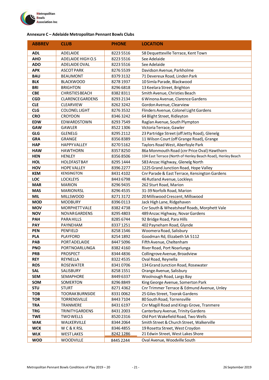

# **Annexure C – Adelaide Metropolitan Pennant Bowls Clubs**

| <b>ABBREV</b>     | <b>CLUB</b>                     | <b>PHONE</b>          | <b>LOCATION</b>                                                |
|-------------------|---------------------------------|-----------------------|----------------------------------------------------------------|
| <b>ADL</b>        | ADELAIDE                        | 8223 5516             | 58 Dequetteville Terrace, Kent Town                            |
| <b>AHO</b>        | ADELAIDE HIGH O.S               | 8223 5516             | See Adelaide                                                   |
| <b>ADO</b>        | ADELAIDE OVAL                   | 8223 5516             | See Adelaide                                                   |
| <b>APK</b>        | <b>ASCOTPARK</b>                | 82765539              | Davidson Avenue, Parkholme                                     |
| <b>BAU</b>        | <b>BEAUMONT</b>                 | 83793132              | 71 Devereux Road, Linden Park                                  |
| <b>BLK</b>        | <b>BLACKWOOD</b>                | 8278 1937             | 10 Simla Parade, Blackwood                                     |
| <b>BRI</b>        | <b>BRIGHTON</b>                 | 8296 6818             | 13 Keelara Street, Brighton                                    |
| <b>CBE</b>        | <b>CHRISTIES BEACH</b>          | 83828311              | Smith Avenue, Christies Beach                                  |
| <b>CGD</b>        | <b>CLARENCE GARDENS</b>         | 8293 2134             | 6 Winona Avenue, Clarence Gardens                              |
| <b>CLE</b>        | CLEARVIEW                       | 82623242              | Gordon Avenue, Clearview                                       |
| <b>CLG</b>        | <b>COLONEL LIGHT</b>            | 82763532              | Flinders Avenue, Colonel Light Gardens                         |
| <b>CRO</b>        | CROYDON                         | 83463242              | 64 Blight Street, Ridleyton                                    |
| <b>EDW</b>        | EDWARDSTOWN                     | 8293 7549             | Raglan Avenue, South Plympton                                  |
| <b>GAW</b>        | GAWLER                          | 8522 1306             | Victoria Terrace, Gawler                                       |
| <b>GLG</b>        | <b>GLENELG</b>                  | 8295 2112             | 23 Partridge Street (off Jetty Road), Glenelg                  |
| <b>GRA</b>        | GRANGE                          | 83568389              | 11 Wilson Court (off Grange Road), Grange                      |
| <b>HAP</b>        | <b>HAPPY VALLEY</b>             | 82705162              | Taylors Road West, Aberfoyle Park                              |
| <b>HAW</b>        | <b>HAWTHORN</b>                 | 83578250              | 86a Monmouth Road (cnr Price Oval) Hawthorn                    |
| <b>HEN</b>        | <b>HENLEY</b>                   | 83568506              | 104 East Terrace (North of Henley Beach Road), Henley Beach    |
| <b>HOL</b>        | <b>HOLDFASTBAY</b>              | 8295 1444             | 583 Anzac Highway, Glenelg North                               |
| HOV               | <b>HOPE VALLEY</b>              | 8396 2277             | 1225 Grand Junction Road, Hope Valley                          |
| <b>KEM</b>        | <b>KENSINGTON</b>               | 84314102              | Cnr Parade & East Terrace, Kensington Gardens                  |
| LOC               | <b>LOCKLEYS</b>                 | 8443 6798             | 46 Rutland Avenue, Lockleys                                    |
| <b>MAR</b>        | <b>MARION</b>                   | 82969435              | 262 Sturt Road, Marion                                         |
| <b>MAS</b>        | <b>MARION RSL</b>               | 8296 4535             | 31-39 Norfolk Road, Marion                                     |
| <b>MIL</b>        | <b>MILLSWOOD</b>                | 82713172              | 20 Millswood Crescent, Millswood                               |
| <b>MOD</b>        | <b>MODBURY</b>                  | 83960113              | Jack High Lane, Ridgehaven                                     |
| <b>MOV</b>        | <b>MORPHETT VALE</b>            | 83824738              | Cnr South & Wheatsheaf Roads, Morphett Vale                    |
| <b>NOV</b>        | <b>NOVARGARDENS</b>             | 8295 4803             | 489 Anzac Highway, Novar Gardens                               |
| <b>PAH</b>        | PARA HILLS                      | 8285 6744             | 92 Bridge Road, Para Hills                                     |
| <b>PAY</b>        | PAYNEHAM                        | 83371251              | 402 Payneham Road, Glynde                                      |
| <b>PEN</b>        | PENFIELD                        | 8258 1546             | Woomera Road, Salisbury                                        |
| <b>PLA</b>        | <b>PLAYFORD</b>                 | 8254 1892             | Goodman Rd, Elizabeth SA 5112                                  |
| PAB               | PORTADELAIDE                    | 8447 5096             | Fifth Avenue, Cheltenham                                       |
| <b>PNO</b>        | PORTNOARLUNGA                   | 8382 4160             | River Road, Port Noarlunga                                     |
| <b>PRB</b>        | <b>PROSPECT</b>                 | 8344 4836             | Collingrove Avenue, Broadview                                  |
| <b>REY</b>        | REYNELLA                        | 83224535              | Oval Road, Reynella                                            |
| <b>ROS</b>        | <b>ROSEWATER</b>                | 83410706              | 134 Grand Junction Road, Rosewater                             |
| <b>SAL</b>        | SALISBURY                       | 8258 1551             | Orange Avenue, Salisbury                                       |
| <b>SEM</b>        | SEMAPHORE                       | 8449 6337             | Woolnough Road, Largs Bay<br>King George Avenue, Somerton Park |
| SOM<br><b>STU</b> | SOMERTON<br><b>STURT</b>        | 82968849<br>8271 4362 | Cnr Trimmer Terrace & Edmund Avenue, Unley                     |
| <b>TOB</b>        | <b>TOORAK BURNSIDE</b>          | 83310062              | 25 Giles Street, Toorak Gardens                                |
| <b>TOR</b>        |                                 | 84437104              | 80 South Road, Torrensville                                    |
| <b>TRA</b>        | <b>TORRENSVILLE</b><br>TRANMERE |                       | Cnr Magill Road and Kings Grove, Tranmere                      |
| <b>TRG</b>        | <b>TRINITYGARDENS</b>           | 84316197<br>8431 2003 | Canterbury Avenue, Trinity Gardens                             |
| <b>TWE</b>        | <b>TWO WELLS</b>                | 8520 2316             | Old Port Wakefield Road, Two Wells                             |
| <b>WAK</b>        | WALKERVILLE                     | 8344 2064             | Smith Street & Church Street, Walkerville                      |
| <b>WCK</b>        | WC&KRSL                         | 83464855              | 19 Rosetta Street, West Croydon                                |
| <b>WLK</b>        | <b>WEST LAKES</b>               | 8242 1286             | 21 Edwin Street, West Lakes Shore                              |
|                   |                                 |                       |                                                                |
| <b>WOD</b>        | <b>WOODVILLE</b>                | 8445 2244             | Oval Avenue, Woodville South                                   |